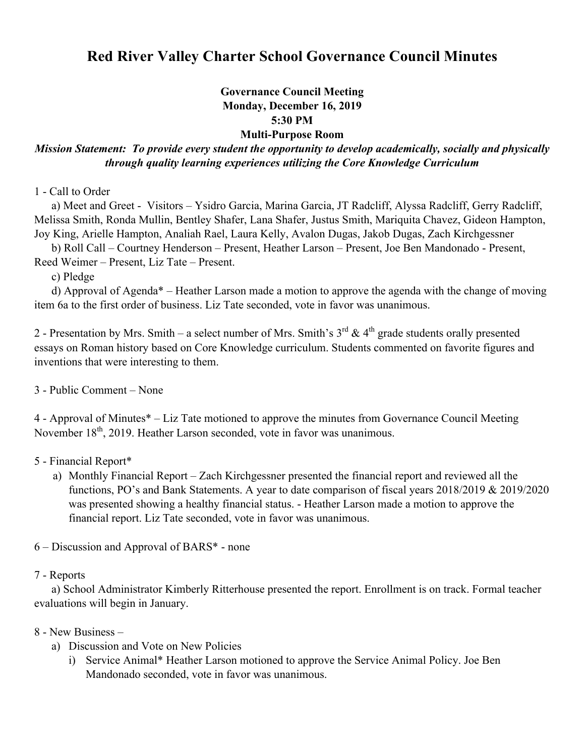# **Red River Valley Charter School Governance Council Minutes**

## **Governance Council Meeting Monday, December 16, 2019 5:30 PM Multi-Purpose Room**

# *Mission Statement: To provide every student the opportunity to develop academically, socially and physically through quality learning experiences utilizing the Core Knowledge Curriculum*

1 - Call to Order

 a) Meet and Greet - Visitors – Ysidro Garcia, Marina Garcia, JT Radcliff, Alyssa Radcliff, Gerry Radcliff, Melissa Smith, Ronda Mullin, Bentley Shafer, Lana Shafer, Justus Smith, Mariquita Chavez, Gideon Hampton, Joy King, Arielle Hampton, Analiah Rael, Laura Kelly, Avalon Dugas, Jakob Dugas, Zach Kirchgessner

b) Roll Call – Courtney Henderson – Present, Heather Larson – Present, Joe Ben Mandonado - Present,

Reed Weimer – Present, Liz Tate – Present.

c) Pledge

 d) Approval of Agenda\* – Heather Larson made a motion to approve the agenda with the change of moving item 6a to the first order of business. Liz Tate seconded, vote in favor was unanimous.

2 - Presentation by Mrs. Smith – a select number of Mrs. Smith's  $3^{rd}$  & 4<sup>th</sup> grade students orally presented essays on Roman history based on Core Knowledge curriculum. Students commented on favorite figures and inventions that were interesting to them.

3 - Public Comment – None

4 - Approval of Minutes\* – Liz Tate motioned to approve the minutes from Governance Council Meeting November  $18<sup>th</sup>$ , 2019. Heather Larson seconded, vote in favor was unanimous.

5 - Financial Report\*

a) Monthly Financial Report – Zach Kirchgessner presented the financial report and reviewed all the functions, PO's and Bank Statements. A year to date comparison of fiscal years 2018/2019 & 2019/2020 was presented showing a healthy financial status. - Heather Larson made a motion to approve the financial report. Liz Tate seconded, vote in favor was unanimous.

6 – Discussion and Approval of BARS\* - none

#### 7 - Reports

a) School Administrator Kimberly Ritterhouse presented the report. Enrollment is on track. Formal teacher evaluations will begin in January.

### 8 - New Business –

- a) Discussion and Vote on New Policies
	- i) Service Animal\* Heather Larson motioned to approve the Service Animal Policy. Joe Ben Mandonado seconded, vote in favor was unanimous.